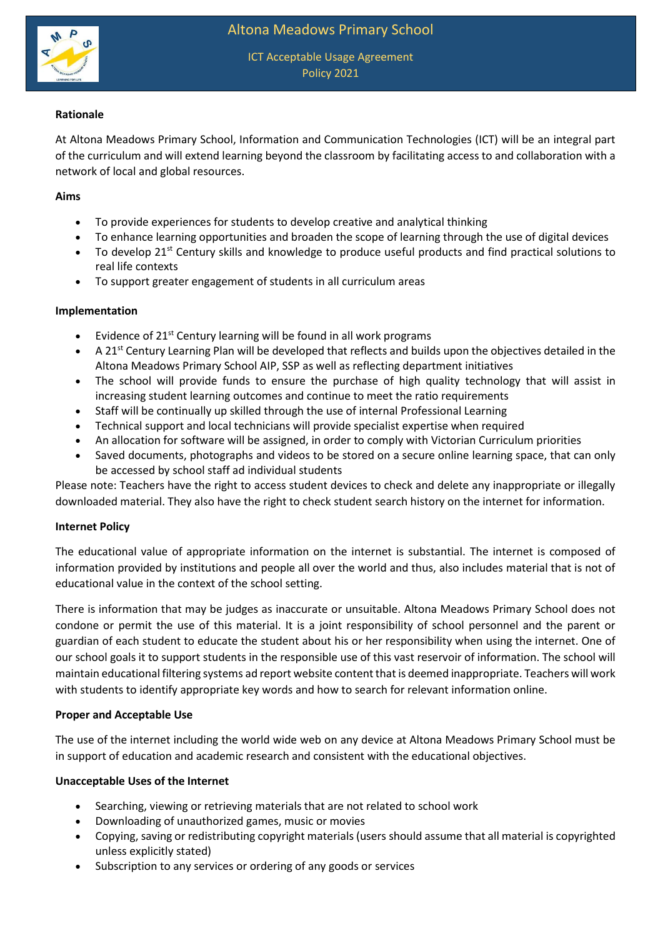

ICT Acceptable Usage Agreement Policy 2021

## **Rationale**

At Altona Meadows Primary School, Information and Communication Technologies (ICT) will be an integral part of the curriculum and will extend learning beyond the classroom by facilitating access to and collaboration with a network of local and global resources.

### **Aims**

- To provide experiences for students to develop creative and analytical thinking
- To enhance learning opportunities and broaden the scope of learning through the use of digital devices
- To develop 21<sup>st</sup> Century skills and knowledge to produce useful products and find practical solutions to real life contexts
- To support greater engagement of students in all curriculum areas

### **Implementation**

- Evidence of  $21^{st}$  Century learning will be found in all work programs
- $\bullet$  A 21<sup>st</sup> Century Learning Plan will be developed that reflects and builds upon the objectives detailed in the Altona Meadows Primary School AIP, SSP as well as reflecting department initiatives
- The school will provide funds to ensure the purchase of high quality technology that will assist in increasing student learning outcomes and continue to meet the ratio requirements
- Staff will be continually up skilled through the use of internal Professional Learning
- Technical support and local technicians will provide specialist expertise when required
- An allocation for software will be assigned, in order to comply with Victorian Curriculum priorities
- Saved documents, photographs and videos to be stored on a secure online learning space, that can only be accessed by school staff ad individual students

Please note: Teachers have the right to access student devices to check and delete any inappropriate or illegally downloaded material. They also have the right to check student search history on the internet for information.

### **Internet Policy**

The educational value of appropriate information on the internet is substantial. The internet is composed of information provided by institutions and people all over the world and thus, also includes material that is not of educational value in the context of the school setting.

There is information that may be judges as inaccurate or unsuitable. Altona Meadows Primary School does not condone or permit the use of this material. It is a joint responsibility of school personnel and the parent or guardian of each student to educate the student about his or her responsibility when using the internet. One of our school goals it to support students in the responsible use of this vast reservoir of information. The school will maintain educational filtering systems ad report website content that is deemed inappropriate. Teachers will work with students to identify appropriate key words and how to search for relevant information online.

### **Proper and Acceptable Use**

The use of the internet including the world wide web on any device at Altona Meadows Primary School must be in support of education and academic research and consistent with the educational objectives.

### **Unacceptable Uses of the Internet**

- Searching, viewing or retrieving materials that are not related to school work
- Downloading of unauthorized games, music or movies
- Copying, saving or redistributing copyright materials (users should assume that all material is copyrighted unless explicitly stated)
- Subscription to any services or ordering of any goods or services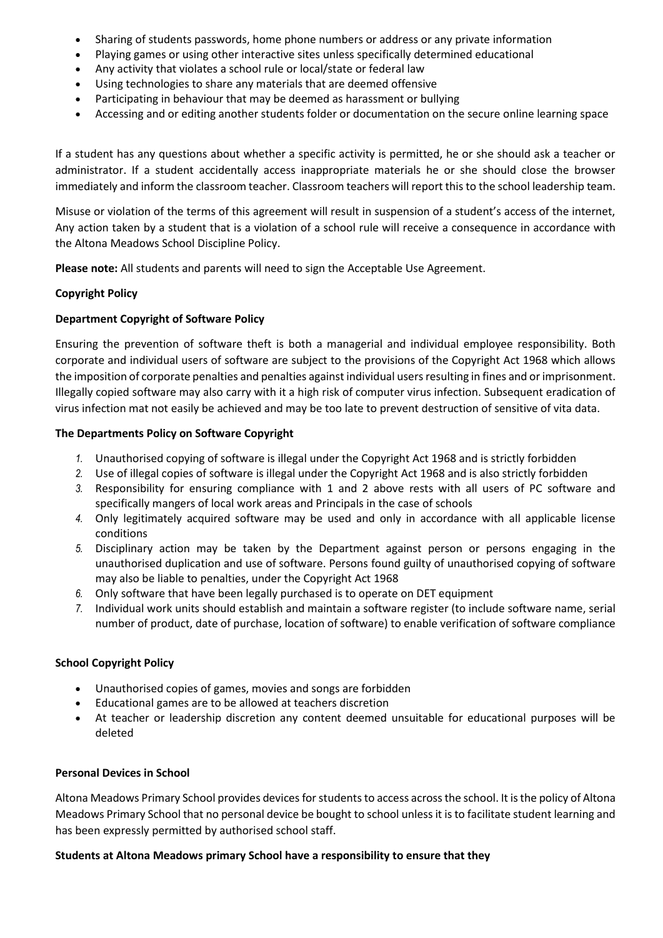- Sharing of students passwords, home phone numbers or address or any private information
- Playing games or using other interactive sites unless specifically determined educational
- Any activity that violates a school rule or local/state or federal law
- Using technologies to share any materials that are deemed offensive
- Participating in behaviour that may be deemed as harassment or bullying
- Accessing and or editing another students folder or documentation on the secure online learning space

If a student has any questions about whether a specific activity is permitted, he or she should ask a teacher or administrator. If a student accidentally access inappropriate materials he or she should close the browser immediately and inform the classroom teacher. Classroom teachers will report this to the school leadership team.

Misuse or violation of the terms of this agreement will result in suspension of a student's access of the internet, Any action taken by a student that is a violation of a school rule will receive a consequence in accordance with the Altona Meadows School Discipline Policy.

**Please note:** All students and parents will need to sign the Acceptable Use Agreement.

## **Copyright Policy**

## **Department Copyright of Software Policy**

Ensuring the prevention of software theft is both a managerial and individual employee responsibility. Both corporate and individual users of software are subject to the provisions of the Copyright Act 1968 which allows the imposition of corporate penalties and penalties against individual users resulting in fines and or imprisonment. Illegally copied software may also carry with it a high risk of computer virus infection. Subsequent eradication of virus infection mat not easily be achieved and may be too late to prevent destruction of sensitive of vita data.

## **The Departments Policy on Software Copyright**

- *1.* Unauthorised copying of software is illegal under the Copyright Act 1968 and is strictly forbidden
- *2.* Use of illegal copies of software is illegal under the Copyright Act 1968 and is also strictly forbidden
- *3.* Responsibility for ensuring compliance with 1 and 2 above rests with all users of PC software and specifically mangers of local work areas and Principals in the case of schools
- *4.* Only legitimately acquired software may be used and only in accordance with all applicable license conditions
- *5.* Disciplinary action may be taken by the Department against person or persons engaging in the unauthorised duplication and use of software. Persons found guilty of unauthorised copying of software may also be liable to penalties, under the Copyright Act 1968
- *6.* Only software that have been legally purchased is to operate on DET equipment
- *7.* Individual work units should establish and maintain a software register (to include software name, serial number of product, date of purchase, location of software) to enable verification of software compliance

### **School Copyright Policy**

- Unauthorised copies of games, movies and songs are forbidden
- Educational games are to be allowed at teachers discretion
- At teacher or leadership discretion any content deemed unsuitable for educational purposes will be deleted

### **Personal Devices in School**

Altona Meadows Primary School provides devices for students to access across the school. It is the policy of Altona Meadows Primary School that no personal device be bought to school unless it is to facilitate student learning and has been expressly permitted by authorised school staff.

### **Students at Altona Meadows primary School have a responsibility to ensure that they**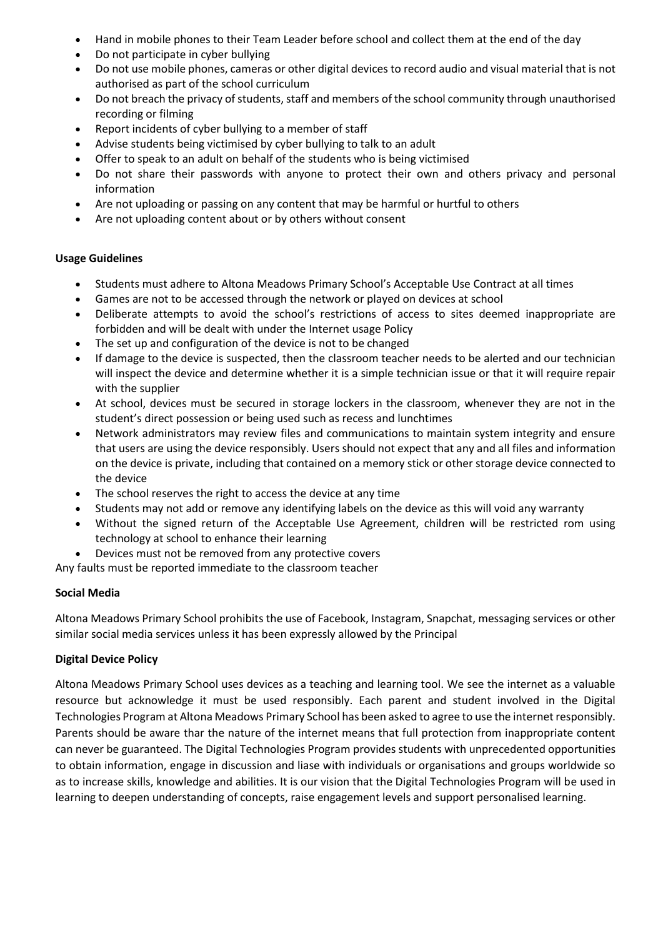- Hand in mobile phones to their Team Leader before school and collect them at the end of the day
- Do not participate in cyber bullying
- Do not use mobile phones, cameras or other digital devices to record audio and visual material that is not authorised as part of the school curriculum
- Do not breach the privacy of students, staff and members of the school community through unauthorised recording or filming
- Report incidents of cyber bullying to a member of staff
- Advise students being victimised by cyber bullying to talk to an adult
- Offer to speak to an adult on behalf of the students who is being victimised
- Do not share their passwords with anyone to protect their own and others privacy and personal information
- Are not uploading or passing on any content that may be harmful or hurtful to others
- Are not uploading content about or by others without consent

## **Usage Guidelines**

- Students must adhere to Altona Meadows Primary School's Acceptable Use Contract at all times
- Games are not to be accessed through the network or played on devices at school
- Deliberate attempts to avoid the school's restrictions of access to sites deemed inappropriate are forbidden and will be dealt with under the Internet usage Policy
- The set up and configuration of the device is not to be changed
- If damage to the device is suspected, then the classroom teacher needs to be alerted and our technician will inspect the device and determine whether it is a simple technician issue or that it will require repair with the supplier
- At school, devices must be secured in storage lockers in the classroom, whenever they are not in the student's direct possession or being used such as recess and lunchtimes
- Network administrators may review files and communications to maintain system integrity and ensure that users are using the device responsibly. Users should not expect that any and all files and information on the device is private, including that contained on a memory stick or other storage device connected to the device
- The school reserves the right to access the device at any time
- Students may not add or remove any identifying labels on the device as this will void any warranty
- Without the signed return of the Acceptable Use Agreement, children will be restricted rom using technology at school to enhance their learning
- Devices must not be removed from any protective covers

Any faults must be reported immediate to the classroom teacher

# **Social Media**

Altona Meadows Primary School prohibits the use of Facebook, Instagram, Snapchat, messaging services or other similar social media services unless it has been expressly allowed by the Principal

# **Digital Device Policy**

Altona Meadows Primary School uses devices as a teaching and learning tool. We see the internet as a valuable resource but acknowledge it must be used responsibly. Each parent and student involved in the Digital Technologies Program at Altona Meadows Primary School has been asked to agree to use the internet responsibly. Parents should be aware thar the nature of the internet means that full protection from inappropriate content can never be guaranteed. The Digital Technologies Program provides students with unprecedented opportunities to obtain information, engage in discussion and liase with individuals or organisations and groups worldwide so as to increase skills, knowledge and abilities. It is our vision that the Digital Technologies Program will be used in learning to deepen understanding of concepts, raise engagement levels and support personalised learning.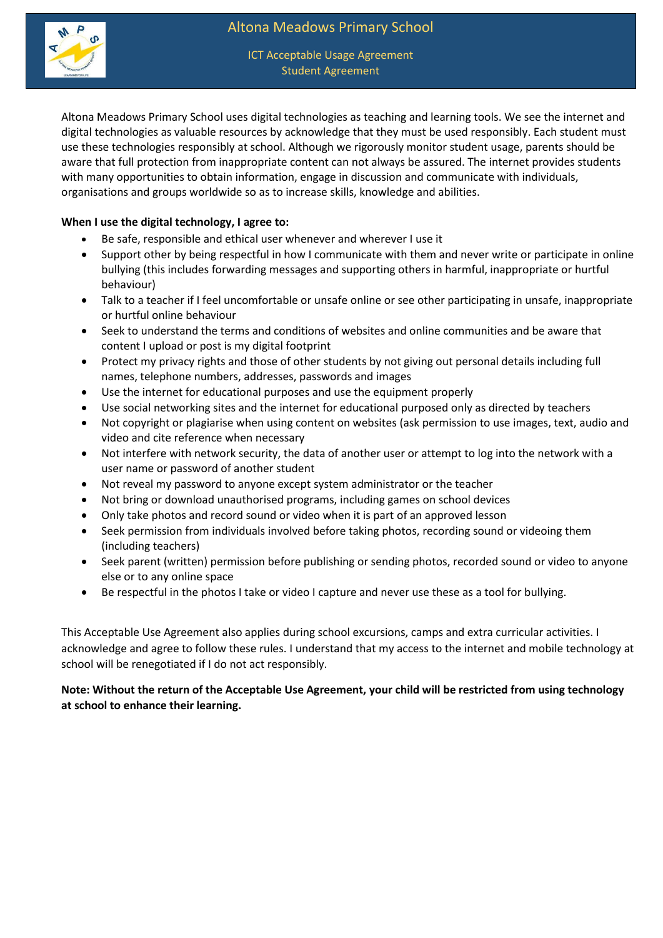

ICT Acceptable Usage Agreement Student Agreement

Altona Meadows Primary School uses digital technologies as teaching and learning tools. We see the internet and digital technologies as valuable resources by acknowledge that they must be used responsibly. Each student must use these technologies responsibly at school. Although we rigorously monitor student usage, parents should be aware that full protection from inappropriate content can not always be assured. The internet provides students with many opportunities to obtain information, engage in discussion and communicate with individuals, organisations and groups worldwide so as to increase skills, knowledge and abilities.

## **When I use the digital technology, I agree to:**

- Be safe, responsible and ethical user whenever and wherever I use it
- Support other by being respectful in how I communicate with them and never write or participate in online bullying (this includes forwarding messages and supporting others in harmful, inappropriate or hurtful behaviour)
- Talk to a teacher if I feel uncomfortable or unsafe online or see other participating in unsafe, inappropriate or hurtful online behaviour
- Seek to understand the terms and conditions of websites and online communities and be aware that content I upload or post is my digital footprint
- Protect my privacy rights and those of other students by not giving out personal details including full names, telephone numbers, addresses, passwords and images
- Use the internet for educational purposes and use the equipment properly
- Use social networking sites and the internet for educational purposed only as directed by teachers
- Not copyright or plagiarise when using content on websites (ask permission to use images, text, audio and video and cite reference when necessary
- Not interfere with network security, the data of another user or attempt to log into the network with a user name or password of another student
- Not reveal my password to anyone except system administrator or the teacher
- Not bring or download unauthorised programs, including games on school devices
- Only take photos and record sound or video when it is part of an approved lesson
- Seek permission from individuals involved before taking photos, recording sound or videoing them (including teachers)
- Seek parent (written) permission before publishing or sending photos, recorded sound or video to anyone else or to any online space
- Be respectful in the photos I take or video I capture and never use these as a tool for bullying.

This Acceptable Use Agreement also applies during school excursions, camps and extra curricular activities. I acknowledge and agree to follow these rules. I understand that my access to the internet and mobile technology at school will be renegotiated if I do not act responsibly.

**Note: Without the return of the Acceptable Use Agreement, your child will be restricted from using technology at school to enhance their learning.**